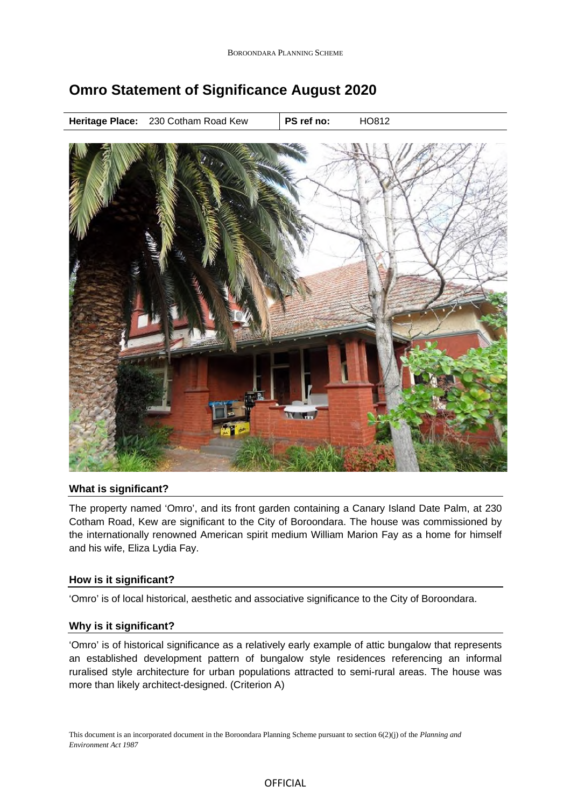# **Omro Statement of Significance August 2020**

**Heritage Place:** 230 Cotham Road Kew | PS ref no: **HO812** 



## **What is significant?**

The property named 'Omro', and its front garden containing a Canary Island Date Palm, at 230 Cotham Road, Kew are significant to the City of Boroondara. The house was commissioned by the internationally renowned American spirit medium William Marion Fay as a home for himself and his wife, Eliza Lydia Fay.

## **How is it significant?**

'Omro' is of local historical, aesthetic and associative significance to the City of Boroondara.

## **Why is it significant?**

'Omro' is of historical significance as a relatively early example of attic bungalow that represents an established development pattern of bungalow style residences referencing an informal ruralised style architecture for urban populations attracted to semi-rural areas. The house was more than likely architect-designed. (Criterion A)

This document is an incorporated document in the Boroondara Planning Scheme pursuant to section 6(2)(j) of the *Planning and Environment Act 1987*